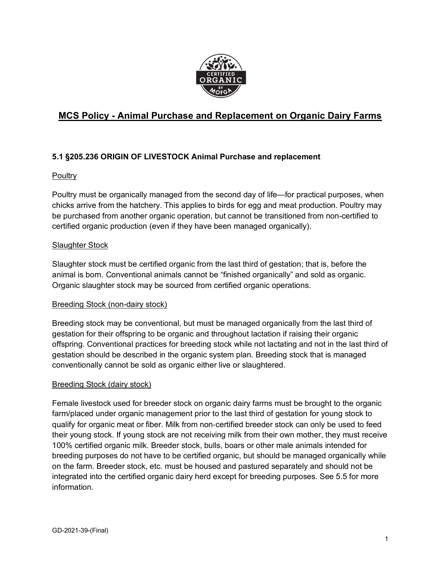

# **MCS Policy - Animal Purchase and Replacement on Organic Dairy Farms**

# **5.1 §205.236 ORIGIN OF LIVESTOCK Animal Purchase and replacement**

#### **Poultry**

Poultry must be organically managed from the second day of life—for practical purposes, when chicks arrive from the hatchery. This applies to birds for egg and meat production. Poultry may be purchased from another organic operation, but cannot be transitioned from non-certified to certified organic production (even if they have been managed organically).

## Slaughter Stock

Slaughter stock must be certified organic from the last third of gestation; that is, before the animal is born. Conventional animals cannot be "finished organically" and sold as organic. Organic slaughter stock may be sourced from certified organic operations.

#### Breeding Stock (non-dairy stock)

Breeding stock may be conventional, but must be managed organically from the last third of gestation for their offspring to be organic and throughout lactation if raising their organic offspring. Conventional practices for breeding stock while not lactating and not in the last third of gestation should be described in the organic system plan. Breeding stock that is managed conventionally cannot be sold as organic either live or slaughtered.

#### Breeding Stock (dairy stock)

Female livestock used for breeder stock on organic dairy farms must be brought to the organic farm/placed under organic management prior to the last third of gestation for young stock to qualify for organic meat or fiber. Milk from non-certified breeder stock can only be used to feed their young stock. If young stock are not receiving milk from their own mother, they must receive 100% certified organic milk. Breeder stock, bulls, boars or other male animals intended for breeding purposes do not have to be certified organic, but should be managed organically while on the farm. Breeder stock, etc. must be housed and pastured separately and should not be integrated into the certified organic dairy herd except for breeding purposes. See 5.5 for more information.